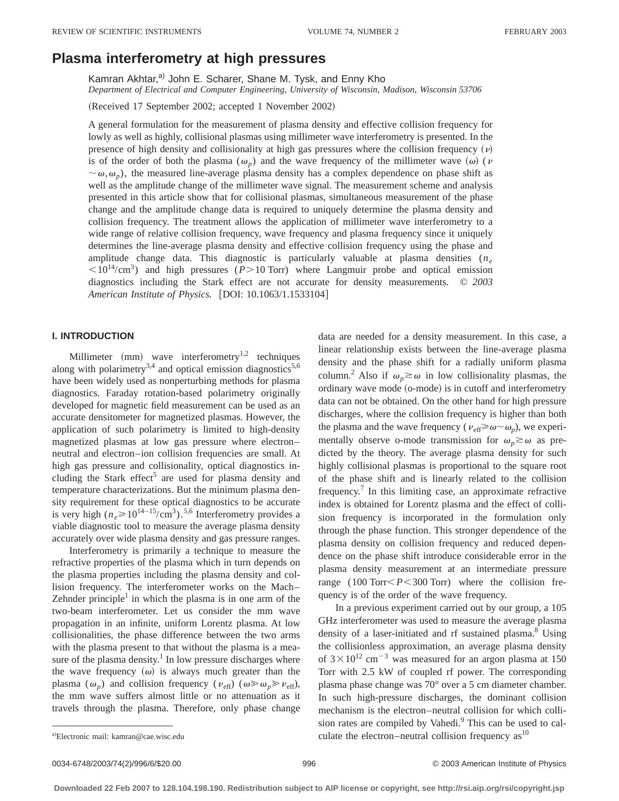# **Plasma interferometry at high pressures**

Kamran Akhtar,<sup>a)</sup> John E. Scharer, Shane M. Tysk, and Enny Kho *Department of Electrical and Computer Engineering, University of Wisconsin, Madison, Wisconsin 53706*

(Received 17 September 2002; accepted 1 November 2002)

A general formulation for the measurement of plasma density and effective collision frequency for lowly as well as highly, collisional plasmas using millimeter wave interferometry is presented. In the presence of high density and collisionality at high gas pressures where the collision frequency  $(v)$ is of the order of both the plasma ( $\omega_p$ ) and the wave frequency of the millimeter wave ( $\omega$ ) ( $\nu$  $\sim \omega, \omega_p$ ), the measured line-average plasma density has a complex dependence on phase shift as well as the amplitude change of the millimeter wave signal. The measurement scheme and analysis presented in this article show that for collisional plasmas, simultaneous measurement of the phase change and the amplitude change data is required to uniquely determine the plasma density and collision frequency. The treatment allows the application of millimeter wave interferometry to a wide range of relative collision frequency, wave frequency and plasma frequency since it uniquely determines the line-average plasma density and effective collision frequency using the phase and amplitude change data. This diagnostic is particularly valuable at plasma densities  $(n_e)$  $\langle10^{14}/\text{cm}^3\rangle$  and high pressures (*P*>10 Torr) where Langmuir probe and optical emission diagnostics including the Stark effect are not accurate for density measurements. © *2003 American Institute of Physics.* [DOI: 10.1063/1.1533104]

# **I. INTRODUCTION**

Millimeter  $(mm)$  wave interferometry<sup>1,2</sup> techniques along with polarimetry<sup>3,4</sup> and optical emission diagnostics<sup>5,6</sup> have been widely used as nonperturbing methods for plasma diagnostics. Faraday rotation-based polarimetry originally developed for magnetic field measurement can be used as an accurate densitometer for magnetized plasmas. However, the application of such polarimetry is limited to high-density magnetized plasmas at low gas pressure where electron– neutral and electron–ion collision frequencies are small. At high gas pressure and collisionality, optical diagnostics including the Stark effect<sup>5</sup> are used for plasma density and temperature characterizations. But the minimum plasma density requirement for these optical diagnostics to be accurate is very high  $(n_e \ge 10^{14-15}/\text{cm}^3)$ .<sup>5,6</sup> Interferometry provides a viable diagnostic tool to measure the average plasma density accurately over wide plasma density and gas pressure ranges.

Interferometry is primarily a technique to measure the refractive properties of the plasma which in turn depends on the plasma properties including the plasma density and collision frequency. The interferometer works on the Mach– Zehnder principle<sup>1</sup> in which the plasma is in one arm of the two-beam interferometer. Let us consider the mm wave propagation in an infinite, uniform Lorentz plasma. At low collisionalities, the phase difference between the two arms with the plasma present to that without the plasma is a measure of the plasma density. $\frac{1}{1}$  In low pressure discharges where the wave frequency  $(\omega)$  is always much greater than the plasma ( $\omega_p$ ) and collision frequency ( $v_{\text{eff}}$ ) ( $\omega \gg \omega_p \gg v_{\text{eff}}$ ), the mm wave suffers almost little or no attenuation as it travels through the plasma. Therefore, only phase change data are needed for a density measurement. In this case, a linear relationship exists between the line-average plasma density and the phase shift for a radially uniform plasma column.<sup>2</sup> Also if  $\omega_n \gtrsim \omega$  in low collisionality plasmas, the ordinary wave mode (o-mode) is in cutoff and interferometry data can not be obtained. On the other hand for high pressure discharges, where the collision frequency is higher than both the plasma and the wave frequency ( $v_{\text{eff}} \ge \omega \sim \omega_p$ ), we experimentally observe o-mode transmission for  $\omega_n \gtrsim \omega$  as predicted by the theory. The average plasma density for such highly collisional plasmas is proportional to the square root of the phase shift and is linearly related to the collision frequency.<sup>7</sup> In this limiting case, an approximate refractive index is obtained for Lorentz plasma and the effect of collision frequency is incorporated in the formulation only through the phase function. This stronger dependence of the plasma density on collision frequency and reduced dependence on the phase shift introduce considerable error in the plasma density measurement at an intermediate pressure range  $(100 \text{ Torr} < P < 300 \text{ Torr})$  where the collision frequency is of the order of the wave frequency.

In a previous experiment carried out by our group, a 105 GHz interferometer was used to measure the average plasma density of a laser-initiated and rf sustained plasma.<sup>8</sup> Using the collisionless approximation, an average plasma density of  $3 \times 10^{12}$  cm<sup>-3</sup> was measured for an argon plasma at 150 Torr with 2.5 kW of coupled rf power. The corresponding plasma phase change was 70° over a 5 cm diameter chamber. In such high-pressure discharges, the dominant collision mechanism is the electron–neutral collision for which collision rates are compiled by Vahedi.<sup>9</sup> This can be used to cala) Electronic mail: kamran@cae.wisc.edu **algebra 2018** Culate the electron–neutral collision frequency as <sup>10</sup>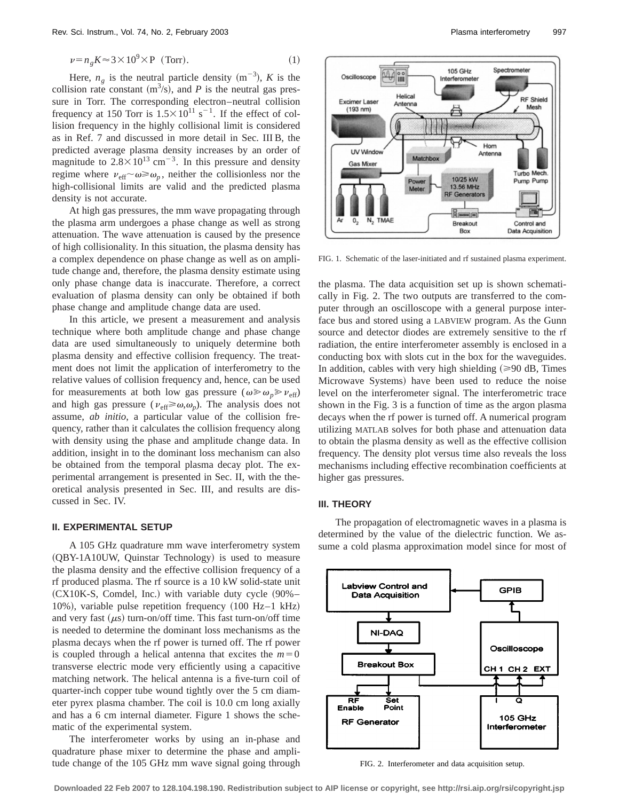$$
\nu = n_g K \approx 3 \times 10^9 \times P \quad \text{(Torr)}.\tag{1}
$$

Here,  $n_g$  is the neutral particle density  $(m^{-3})$ , *K* is the collision rate constant  $(m^3/s)$ , and *P* is the neutral gas pressure in Torr. The corresponding electron–neutral collision frequency at 150 Torr is  $1.5 \times 10^{11}$  s<sup>-1</sup>. If the effect of collision frequency in the highly collisional limit is considered as in Ref. 7 and discussed in more detail in Sec. III B, the predicted average plasma density increases by an order of magnitude to  $2.8 \times 10^{13}$  cm<sup>-3</sup>. In this pressure and density regime where  $\nu_{\text{eff}}\sim\omega \ge \omega_n$ , neither the collisionless nor the high-collisional limits are valid and the predicted plasma density is not accurate.

At high gas pressures, the mm wave propagating through the plasma arm undergoes a phase change as well as strong attenuation. The wave attenuation is caused by the presence of high collisionality. In this situation, the plasma density has a complex dependence on phase change as well as on amplitude change and, therefore, the plasma density estimate using only phase change data is inaccurate. Therefore, a correct evaluation of plasma density can only be obtained if both phase change and amplitude change data are used.

In this article, we present a measurement and analysis technique where both amplitude change and phase change data are used simultaneously to uniquely determine both plasma density and effective collision frequency. The treatment does not limit the application of interferometry to the relative values of collision frequency and, hence, can be used for measurements at both low gas pressure ( $\omega \gg \omega_p \gg v_{\text{eff}}$ ) and high gas pressure ( $v_{\text{eff}} \ge \omega, \omega_p$ ). The analysis does not assume, *ab initio*, a particular value of the collision frequency, rather than it calculates the collision frequency along with density using the phase and amplitude change data. In addition, insight in to the dominant loss mechanism can also be obtained from the temporal plasma decay plot. The experimental arrangement is presented in Sec. II, with the theoretical analysis presented in Sec. III, and results are discussed in Sec. IV.

## **II. EXPERIMENTAL SETUP**

A 105 GHz quadrature mm wave interferometry system  $(OBY-1A10UW,$  Quinstar Technology) is used to measure the plasma density and the effective collision frequency of a rf produced plasma. The rf source is a 10 kW solid-state unit  $(CX10K-S, Comdel, Inc.)$  with variable duty cycle  $(90\% -$ 10%), variable pulse repetition frequency  $(100 \text{ Hz}-1 \text{ kHz})$ and very fast  $(\mu s)$  turn-on/off time. This fast turn-on/off time is needed to determine the dominant loss mechanisms as the plasma decays when the rf power is turned off. The rf power is coupled through a helical antenna that excites the  $m=0$ transverse electric mode very efficiently using a capacitive matching network. The helical antenna is a five-turn coil of quarter-inch copper tube wound tightly over the 5 cm diameter pyrex plasma chamber. The coil is 10.0 cm long axially and has a 6 cm internal diameter. Figure 1 shows the schematic of the experimental system.

The interferometer works by using an in-phase and quadrature phase mixer to determine the phase and amplitude change of the 105 GHz mm wave signal going through



FIG. 1. Schematic of the laser-initiated and rf sustained plasma experiment.

the plasma. The data acquisition set up is shown schematically in Fig. 2. The two outputs are transferred to the computer through an oscilloscope with a general purpose interface bus and stored using a LABVIEW program. As the Gunn source and detector diodes are extremely sensitive to the rf radiation, the entire interferometer assembly is enclosed in a conducting box with slots cut in the box for the waveguides. In addition, cables with very high shielding  $(\geq 90 \text{ dB}, \text{Times})$ Microwave Systems) have been used to reduce the noise level on the interferometer signal. The interferometric trace shown in the Fig. 3 is a function of time as the argon plasma decays when the rf power is turned off. A numerical program utilizing MATLAB solves for both phase and attenuation data to obtain the plasma density as well as the effective collision frequency. The density plot versus time also reveals the loss mechanisms including effective recombination coefficients at higher gas pressures.

#### **III. THEORY**

The propagation of electromagnetic waves in a plasma is determined by the value of the dielectric function. We assume a cold plasma approximation model since for most of



FIG. 2. Interferometer and data acquisition setup.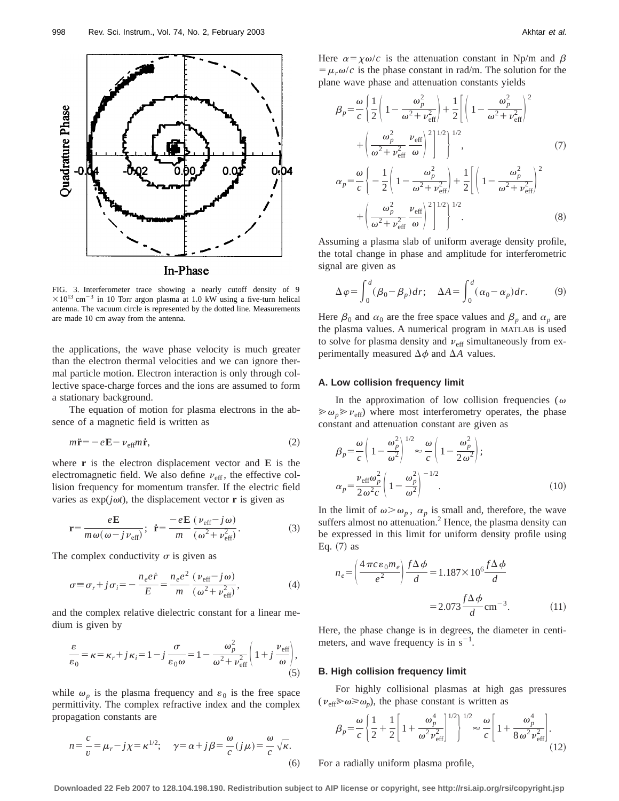

FIG. 3. Interferometer trace showing a nearly cutoff density of 9  $\times10^{13}$  cm<sup>-3</sup> in 10 Torr argon plasma at 1.0 kW using a five-turn helical antenna. The vacuum circle is represented by the dotted line. Measurements are made 10 cm away from the antenna.

the applications, the wave phase velocity is much greater than the electron thermal velocities and we can ignore thermal particle motion. Electron interaction is only through collective space-charge forces and the ions are assumed to form a stationary background.

The equation of motion for plasma electrons in the absence of a magnetic field is written as

$$
m\ddot{\mathbf{r}} = -e\mathbf{E} - \nu_{\text{eff}}m\dot{\mathbf{r}},\tag{2}
$$

where **r** is the electron displacement vector and **E** is the electromagnetic field. We also define  $v_{\text{eff}}$ , the effective collision frequency for momentum transfer. If the electric field varies as  $exp(j\omega t)$ , the displacement vector **r** is given as

$$
\mathbf{r} = \frac{e\mathbf{E}}{m\,\omega(\,\omega - j\,\nu_{\text{eff}})}; \quad \dot{\mathbf{r}} = \frac{-e\mathbf{E}}{m} \frac{(\,\nu_{\text{eff}} - j\,\omega)}{(\,\omega^2 + \nu_{\text{eff}}^2)}.
$$
(3)

The complex conductivity  $\sigma$  is given as

$$
\sigma \equiv \sigma_r + j\sigma_i = -\frac{n_e e \dot{r}}{E} = \frac{n_e e^2}{m} \frac{(\nu_{\text{eff}} - j\omega)}{(\omega^2 + \nu_{\text{eff}}^2)},\tag{4}
$$

and the complex relative dielectric constant for a linear medium is given by

$$
\frac{\varepsilon}{\varepsilon_0} = \kappa = \kappa_r + j\kappa_i = 1 - j\frac{\sigma}{\varepsilon_0 \omega} = 1 - \frac{\omega_p^2}{\omega^2 + \nu_{\text{eff}}^2} \left(1 + j\frac{\nu_{\text{eff}}}{\omega}\right),\tag{5}
$$

while  $\omega_p$  is the plasma frequency and  $\varepsilon_0$  is the free space permittivity. The complex refractive index and the complex propagation constants are

$$
n = \frac{c}{v} = \mu_r - j\chi = \kappa^{1/2}; \quad \gamma = \alpha + j\beta = \frac{\omega}{c}(j\mu) = \frac{\omega}{c}\sqrt{\kappa}.
$$
\n(6)

Here  $\alpha = \chi \omega/c$  is the attenuation constant in Np/m and  $\beta$  $= \mu_r \omega/c$  is the phase constant in rad/m. The solution for the plane wave phase and attenuation constants yields

$$
\beta_p = \frac{\omega}{c} \left\{ \frac{1}{2} \left( 1 - \frac{\omega_p^2}{\omega^2 + \nu_{\text{eff}}^2} \right) + \frac{1}{2} \left[ \left( 1 - \frac{\omega_p^2}{\omega^2 + \nu_{\text{eff}}^2} \right)^2 \right] + \left( \frac{\omega_p^2}{\omega^2 + \nu_{\text{eff}}^2} \frac{\nu_{\text{eff}}}{\omega} \right)^2 \right\}^{1/2},
$$
\n
$$
\omega \left\{ \frac{1}{\omega_1^2 + \nu_{\text{eff}}^2} \frac{\omega_p^2}{\omega_1^2} \right\}^{1/2} + \left( \frac{\omega_p^2}{\omega_p^2} \right)^2
$$
\n(7)

$$
\alpha_p = \frac{\omega}{c} \left\{ -\frac{1}{2} \left( 1 - \frac{\omega_p^2}{\omega^2 + \nu_{\text{eff}}^2} \right) + \frac{1}{2} \left[ \left( 1 - \frac{\omega_p^2}{\omega^2 + \nu_{\text{eff}}^2} \right)^2 + \left( \frac{\omega_p^2}{\omega^2 + \nu_{\text{eff}}^2} \right)^2 \right]^{1/2} \right\}^{1/2}.
$$
\n(8)

Assuming a plasma slab of uniform average density profile, the total change in phase and amplitude for interferometric signal are given as

$$
\Delta \varphi = \int_0^d (\beta_0 - \beta_p) dr; \quad \Delta A = \int_0^d (\alpha_0 - \alpha_p) dr. \tag{9}
$$

Here  $\beta_0$  and  $\alpha_0$  are the free space values and  $\beta_p$  and  $\alpha_p$  are the plasma values. A numerical program in MATLAB is used to solve for plasma density and  $v_{\text{eff}}$  simultaneously from experimentally measured  $\Delta \phi$  and  $\Delta A$  values.

#### **A. Low collision frequency limit**

In the approximation of low collision frequencies ( $\omega$  $\gg \omega_p \gg v_{\text{eff}}$ ) where most interferometry operates, the phase constant and attenuation constant are given as

$$
\beta_p = \frac{\omega}{c} \left( 1 - \frac{\omega_p^2}{\omega^2} \right)^{1/2} \approx \frac{\omega}{c} \left( 1 - \frac{\omega_p^2}{2 \omega^2} \right);
$$
  
\n
$$
\alpha_p = \frac{\nu_{\text{eff}} \omega_p^2}{2 \omega^2 c} \left( 1 - \frac{\omega_p^2}{\omega^2} \right)^{-1/2}.
$$
\n(10)

In the limit of  $\omega > \omega_p$ ,  $\alpha_p$  is small and, therefore, the wave suffers almost no attenuation.<sup>2</sup> Hence, the plasma density can be expressed in this limit for uniform density profile using Eq.  $(7)$  as

$$
n_e = \left(\frac{4\pi c \epsilon_0 m_e}{e^2}\right) \frac{f\Delta\phi}{d} = 1.187 \times 10^6 \frac{f\Delta\phi}{d}
$$

$$
= 2.073 \frac{f\Delta\phi}{d} \text{cm}^{-3}.
$$
 (11)

Here, the phase change is in degrees, the diameter in centimeters, and wave frequency is in  $s^{-1}$ .

### **B. High collision frequency limit**

For highly collisional plasmas at high gas pressures  $(\nu_{\text{eff}} \gg \omega \gg \omega_p)$ , the phase constant is written as

$$
\beta_p = \frac{\omega}{c} \left\{ \frac{1}{2} + \frac{1}{2} \left[ 1 + \frac{\omega_p^4}{\omega^2 \nu_{\text{eff}}^2} \right]^{1/2} \right\}^{1/2} \approx \frac{\omega}{c} \left[ 1 + \frac{\omega_p^4}{8 \omega^2 \nu_{\text{eff}}^2} \right].
$$
\n(12)

For a radially uniform plasma profile,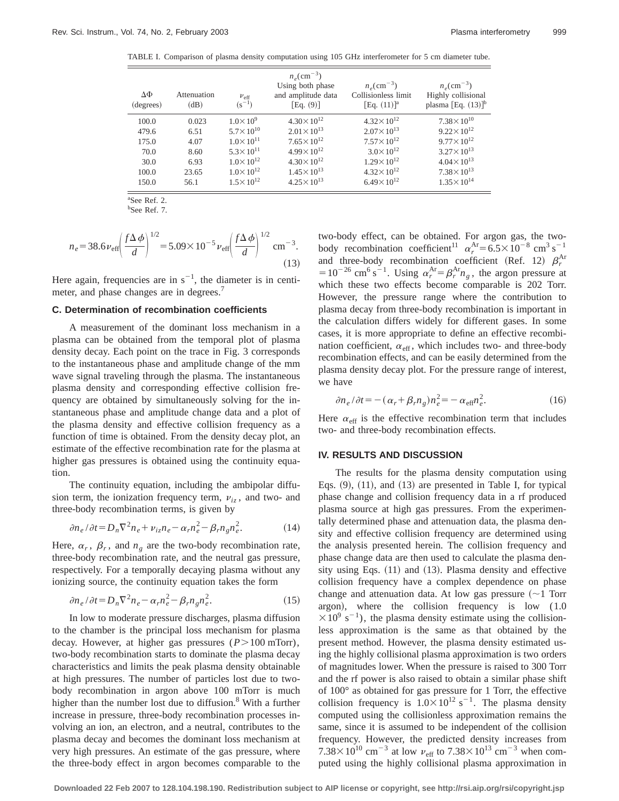TABLE I. Comparison of plasma density computation using 105 GHz interferometer for 5 cm diameter tube.

| ΔФ<br>(degrees) | Attenuation<br>(dB) | $v_{\rm eff}$<br>$(s^{-1})$ | $n_e$ (cm <sup>-3</sup> )<br>Using both phase<br>and amplitude data<br>$Eq. (9)$ ] | $n_e$ (cm <sup>-3</sup> )<br>Collisionless limit<br>[Eq. $(11)^{a}$ ] | $n_e$ (cm <sup>-3</sup> )<br>Highly collisional<br>plasma [Eq. $(13)$ ] <sup>b</sup> |
|-----------------|---------------------|-----------------------------|------------------------------------------------------------------------------------|-----------------------------------------------------------------------|--------------------------------------------------------------------------------------|
| 100.0           | 0.023               | $1.0 \times 10^{9}$         | $4.30 \times 10^{12}$                                                              | $4.32 \times 10^{12}$                                                 | $7.38 \times 10^{10}$                                                                |
| 479.6           | 6.51                | $5.7 \times 10^{10}$        | $2.01 \times 10^{13}$                                                              | $2.07\times10^{13}$                                                   | $9.22 \times 10^{12}$                                                                |
| 175.0           | 4.07                | $1.0 \times 10^{11}$        | $7.65 \times 10^{12}$                                                              | $7.57 \times 10^{12}$                                                 | $9.77 \times 10^{12}$                                                                |
| 70.0            | 8.60                | $5.3 \times 10^{11}$        | $4.99 \times 10^{12}$                                                              | $3.0 \times 10^{12}$                                                  | $3.27 \times 10^{13}$                                                                |
| 30.0            | 6.93                | $1.0 \times 10^{12}$        | $4.30 \times 10^{12}$                                                              | $1.29 \times 10^{12}$                                                 | $4.04 \times 10^{13}$                                                                |
| 100.0           | 23.65               | $1.0 \times 10^{12}$        | $1.45 \times 10^{13}$                                                              | $4.32 \times 10^{12}$                                                 | $7.38 \times 10^{13}$                                                                |
| 150.0           | 56.1                | $1.5 \times 10^{12}$        | $4.25 \times 10^{13}$                                                              | $6.49 \times 10^{12}$                                                 | $1.35 \times 10^{14}$                                                                |

a See Ref. 2.

b See Ref. 7.

$$
n_e = 38.6 \nu_{\rm eff} \left(\frac{f\Delta\phi}{d}\right)^{1/2} = 5.09 \times 10^{-5} \nu_{\rm eff} \left(\frac{f\Delta\phi}{d}\right)^{1/2} \text{ cm}^{-3}.
$$
\n(13)

Here again, frequencies are in  $s^{-1}$ , the diameter is in centimeter, and phase changes are in degrees.<sup>7</sup>

#### **C. Determination of recombination coefficients**

A measurement of the dominant loss mechanism in a plasma can be obtained from the temporal plot of plasma density decay. Each point on the trace in Fig. 3 corresponds to the instantaneous phase and amplitude change of the mm wave signal traveling through the plasma. The instantaneous plasma density and corresponding effective collision frequency are obtained by simultaneously solving for the instantaneous phase and amplitude change data and a plot of the plasma density and effective collision frequency as a function of time is obtained. From the density decay plot, an estimate of the effective recombination rate for the plasma at higher gas pressures is obtained using the continuity equation.

The continuity equation, including the ambipolar diffusion term, the ionization frequency term,  $v_{iz}$ , and two- and three-body recombination terms, is given by

$$
\partial n_e / \partial t = D_n \nabla^2 n_e + \nu_{iz} n_e - \alpha_r n_e^2 - \beta_r n_g n_e^2. \tag{14}
$$

Here,  $\alpha_r$ ,  $\beta_r$ , and  $n_\varrho$  are the two-body recombination rate, three-body recombination rate, and the neutral gas pressure, respectively. For a temporally decaying plasma without any ionizing source, the continuity equation takes the form

$$
\partial n_e / \partial t = D_n \nabla^2 n_e - \alpha_r n_e^2 - \beta_r n_g n_e^2. \tag{15}
$$

In low to moderate pressure discharges, plasma diffusion to the chamber is the principal loss mechanism for plasma decay. However, at higher gas pressures  $(P > 100$  mTorr), two-body recombination starts to dominate the plasma decay characteristics and limits the peak plasma density obtainable at high pressures. The number of particles lost due to twobody recombination in argon above 100 mTorr is much higher than the number lost due to diffusion.<sup>8</sup> With a further increase in pressure, three-body recombination processes involving an ion, an electron, and a neutral, contributes to the plasma decay and becomes the dominant loss mechanism at very high pressures. An estimate of the gas pressure, where the three-body effect in argon becomes comparable to the two-body effect, can be obtained. For argon gas, the twobody recombination coefficient<sup>11</sup>  $\alpha_r^{\text{Ar}} = 6.5 \times 10^{-8} \text{ cm}^3 \text{ s}^{-1}$ and three-body recombination coefficient (Ref. 12)  $\beta_r^{\text{Ar}}$  $=10^{-26}$  cm<sup>6</sup> s<sup>-1</sup>. Using  $\alpha_r^{\text{Ar}} = \beta_r^{\text{Ar}} n_g$ , the argon pressure at which these two effects become comparable is 202 Torr. However, the pressure range where the contribution to plasma decay from three-body recombination is important in the calculation differs widely for different gases. In some cases, it is more appropriate to define an effective recombination coefficient,  $\alpha_{\text{eff}}$ , which includes two- and three-body recombination effects, and can be easily determined from the plasma density decay plot. For the pressure range of interest, we have

$$
\partial n_e / \partial t = -(\alpha_r + \beta_r n_g) n_e^2 = -\alpha_{\text{eff}} n_e^2. \tag{16}
$$

Here  $\alpha_{\text{eff}}$  is the effective recombination term that includes two- and three-body recombination effects.

#### **IV. RESULTS AND DISCUSSION**

The results for the plasma density computation using Eqs.  $(9)$ ,  $(11)$ , and  $(13)$  are presented in Table I, for typical phase change and collision frequency data in a rf produced plasma source at high gas pressures. From the experimentally determined phase and attenuation data, the plasma density and effective collision frequency are determined using the analysis presented herein. The collision frequency and phase change data are then used to calculate the plasma density using Eqs.  $(11)$  and  $(13)$ . Plasma density and effective collision frequency have a complex dependence on phase change and attenuation data. At low gas pressure  $(\sim 1$  Torr argon), where the collision frequency is low  $(1.0)$  $\times 10^{9}$  s<sup>-1</sup>), the plasma density estimate using the collisionless approximation is the same as that obtained by the present method. However, the plasma density estimated using the highly collisional plasma approximation is two orders of magnitudes lower. When the pressure is raised to 300 Torr and the rf power is also raised to obtain a similar phase shift of 100° as obtained for gas pressure for 1 Torr, the effective collision frequency is  $1.0 \times 10^{12}$  s<sup>-1</sup>. The plasma density computed using the collisionless approximation remains the same, since it is assumed to be independent of the collision frequency. However, the predicted density increases from  $7.38 \times 10^{10}$  cm<sup>-3</sup> at low  $v_{\text{eff}}$  to  $7.38 \times 10^{13}$  cm<sup>-3</sup> when computed using the highly collisional plasma approximation in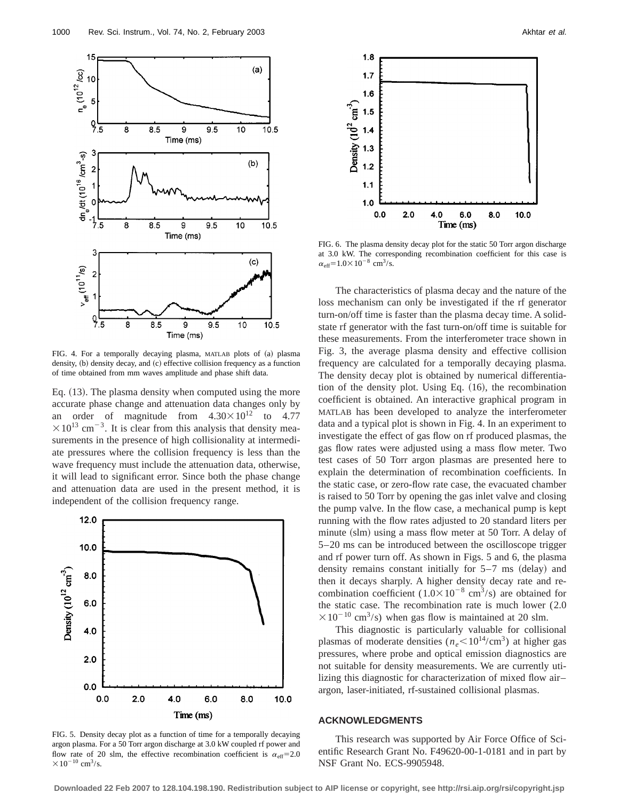

FIG. 4. For a temporally decaying plasma, MATLAB plots of (a) plasma density,  $(b)$  density decay, and  $(c)$  effective collision frequency as a function of time obtained from mm waves amplitude and phase shift data.

Eq.  $(13)$ . The plasma density when computed using the more accurate phase change and attenuation data changes only by an order of magnitude from  $4.30 \times 10^{12}$  to 4.77  $\times 10^{13}$  cm<sup>-3</sup>. It is clear from this analysis that density measurements in the presence of high collisionality at intermediate pressures where the collision frequency is less than the wave frequency must include the attenuation data, otherwise, it will lead to significant error. Since both the phase change and attenuation data are used in the present method, it is independent of the collision frequency range.



FIG. 5. Density decay plot as a function of time for a temporally decaying argon plasma. For a 50 Torr argon discharge at 3.0 kW coupled rf power and flow rate of 20 slm, the effective recombination coefficient is  $\alpha_{\text{eff}}=2.0$  $\times 10^{-10}$  cm<sup>3</sup>/s.



FIG. 6. The plasma density decay plot for the static 50 Torr argon discharge at 3.0 kW. The corresponding recombination coefficient for this case is  $\alpha_{\text{eff}}$ =1.0×10<sup>-8</sup> cm<sup>3</sup>/s.

The characteristics of plasma decay and the nature of the loss mechanism can only be investigated if the rf generator turn-on/off time is faster than the plasma decay time. A solidstate rf generator with the fast turn-on/off time is suitable for these measurements. From the interferometer trace shown in Fig. 3, the average plasma density and effective collision frequency are calculated for a temporally decaying plasma. The density decay plot is obtained by numerical differentiation of the density plot. Using Eq.  $(16)$ , the recombination coefficient is obtained. An interactive graphical program in MATLAB has been developed to analyze the interferometer data and a typical plot is shown in Fig. 4. In an experiment to investigate the effect of gas flow on rf produced plasmas, the gas flow rates were adjusted using a mass flow meter. Two test cases of 50 Torr argon plasmas are presented here to explain the determination of recombination coefficients. In the static case, or zero-flow rate case, the evacuated chamber is raised to 50 Torr by opening the gas inlet valve and closing the pump valve. In the flow case, a mechanical pump is kept running with the flow rates adjusted to 20 standard liters per minute (slm) using a mass flow meter at 50 Torr. A delay of 5–20 ms can be introduced between the oscilloscope trigger and rf power turn off. As shown in Figs. 5 and 6, the plasma density remains constant initially for  $5-7$  ms (delay) and then it decays sharply. A higher density decay rate and recombination coefficient  $(1.0 \times 10^{-8} \text{ cm}^3/\text{s})$  are obtained for the static case. The recombination rate is much lower (2.0  $\times 10^{-10}$  cm<sup>3</sup>/s) when gas flow is maintained at 20 slm.

This diagnostic is particularly valuable for collisional plasmas of moderate densities  $(n_e < 10^{14}/\text{cm}^3)$  at higher gas pressures, where probe and optical emission diagnostics are not suitable for density measurements. We are currently utilizing this diagnostic for characterization of mixed flow air– argon, laser-initiated, rf-sustained collisional plasmas.

### **ACKNOWLEDGMENTS**

This research was supported by Air Force Office of Scientific Research Grant No. F49620-00-1-0181 and in part by NSF Grant No. ECS-9905948.